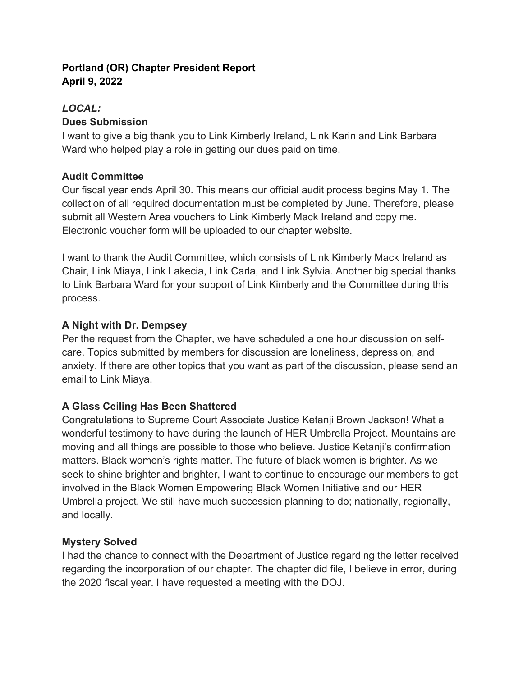# **Portland (OR) Chapter President Report April 9, 2022**

## *LOCAL:*

## **Dues Submission**

I want to give a big thank you to Link Kimberly Ireland, Link Karin and Link Barbara Ward who helped play a role in getting our dues paid on time.

# **Audit Committee**

Our fiscal year ends April 30. This means our official audit process begins May 1. The collection of all required documentation must be completed by June. Therefore, please submit all Western Area vouchers to Link Kimberly Mack Ireland and copy me. Electronic voucher form will be uploaded to our chapter website.

I want to thank the Audit Committee, which consists of Link Kimberly Mack Ireland as Chair, Link Miaya, Link Lakecia, Link Carla, and Link Sylvia. Another big special thanks to Link Barbara Ward for your support of Link Kimberly and the Committee during this process.

## **A Night with Dr. Dempsey**

Per the request from the Chapter, we have scheduled a one hour discussion on selfcare. Topics submitted by members for discussion are loneliness, depression, and anxiety. If there are other topics that you want as part of the discussion, please send an email to Link Miaya.

# **A Glass Ceiling Has Been Shattered**

Congratulations to Supreme Court Associate Justice Ketanji Brown Jackson! What a wonderful testimony to have during the launch of HER Umbrella Project. Mountains are moving and all things are possible to those who believe. Justice Ketanji's confirmation matters. Black women's rights matter. The future of black women is brighter. As we seek to shine brighter and brighter, I want to continue to encourage our members to get involved in the Black Women Empowering Black Women Initiative and our HER Umbrella project. We still have much succession planning to do; nationally, regionally, and locally.

# **Mystery Solved**

I had the chance to connect with the Department of Justice regarding the letter received regarding the incorporation of our chapter. The chapter did file, I believe in error, during the 2020 fiscal year. I have requested a meeting with the DOJ.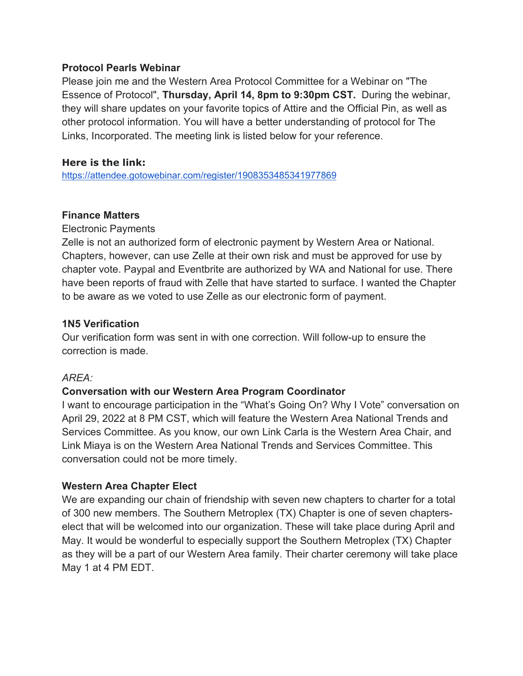### **Protocol Pearls Webinar**

Please join me and the Western Area Protocol Committee for a Webinar on "The Essence of Protocol", **Thursday, April 14, 8pm to 9:30pm CST.** During the webinar, they will share updates on your favorite topics of Attire and the Official Pin, as well as other protocol information. You will have a better understanding of protocol for The Links, Incorporated. The meeting link is listed below for your reference.

### **Here is the link:**

https://attendee.gotowebinar.com/register/1908353485341977869

#### **Finance Matters**

Electronic Payments

Zelle is not an authorized form of electronic payment by Western Area or National. Chapters, however, can use Zelle at their own risk and must be approved for use by chapter vote. Paypal and Eventbrite are authorized by WA and National for use. There have been reports of fraud with Zelle that have started to surface. I wanted the Chapter to be aware as we voted to use Zelle as our electronic form of payment.

### **1N5 Verification**

Our verification form was sent in with one correction. Will follow-up to ensure the correction is made.

### *AREA:*

### **Conversation with our Western Area Program Coordinator**

I want to encourage participation in the "What's Going On? Why I Vote" conversation on April 29, 2022 at 8 PM CST, which will feature the Western Area National Trends and Services Committee. As you know, our own Link Carla is the Western Area Chair, and Link Miaya is on the Western Area National Trends and Services Committee. This conversation could not be more timely.

### **Western Area Chapter Elect**

We are expanding our chain of friendship with seven new chapters to charter for a total of 300 new members. The Southern Metroplex (TX) Chapter is one of seven chapterselect that will be welcomed into our organization. These will take place during April and May. It would be wonderful to especially support the Southern Metroplex (TX) Chapter as they will be a part of our Western Area family. Their charter ceremony will take place May 1 at 4 PM EDT.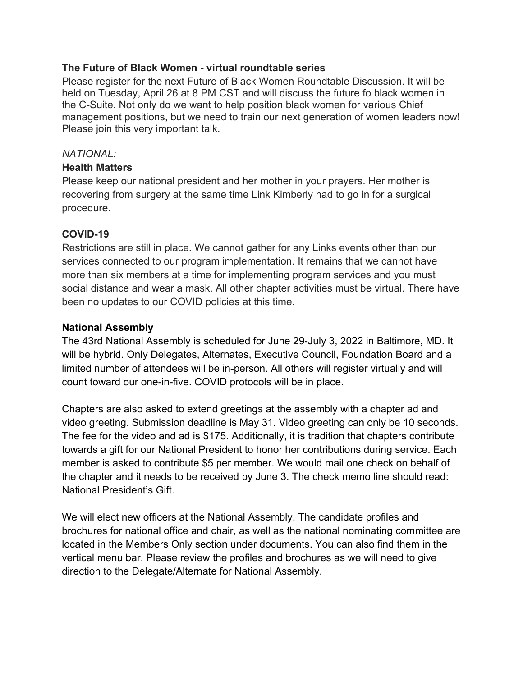### **The Future of Black Women - virtual roundtable series**

Please register for the next Future of Black Women Roundtable Discussion. It will be held on Tuesday, April 26 at 8 PM CST and will discuss the future fo black women in the C-Suite. Not only do we want to help position black women for various Chief management positions, but we need to train our next generation of women leaders now! Please join this very important talk.

### *NATIONAL:*

### **Health Matters**

Please keep our national president and her mother in your prayers. Her mother is recovering from surgery at the same time Link Kimberly had to go in for a surgical procedure.

### **COVID-19**

Restrictions are still in place. We cannot gather for any Links events other than our services connected to our program implementation. It remains that we cannot have more than six members at a time for implementing program services and you must social distance and wear a mask. All other chapter activities must be virtual. There have been no updates to our COVID policies at this time.

## **National Assembly**

The 43rd National Assembly is scheduled for June 29-July 3, 2022 in Baltimore, MD. It will be hybrid. Only Delegates, Alternates, Executive Council, Foundation Board and a limited number of attendees will be in-person. All others will register virtually and will count toward our one-in-five. COVID protocols will be in place.

Chapters are also asked to extend greetings at the assembly with a chapter ad and video greeting. Submission deadline is May 31. Video greeting can only be 10 seconds. The fee for the video and ad is \$175. Additionally, it is tradition that chapters contribute towards a gift for our National President to honor her contributions during service. Each member is asked to contribute \$5 per member. We would mail one check on behalf of the chapter and it needs to be received by June 3. The check memo line should read: National President's Gift.

We will elect new officers at the National Assembly. The candidate profiles and brochures for national office and chair, as well as the national nominating committee are located in the Members Only section under documents. You can also find them in the vertical menu bar. Please review the profiles and brochures as we will need to give direction to the Delegate/Alternate for National Assembly.